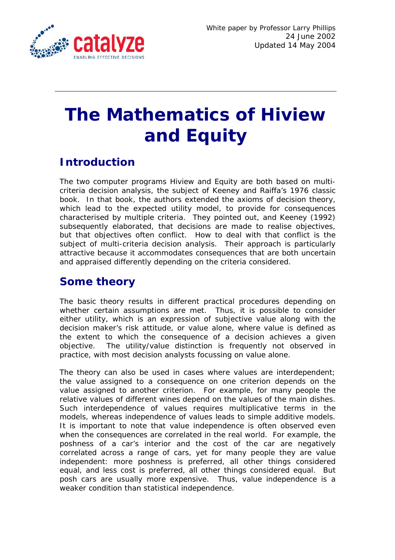

# **The Mathematics of Hiview and Equity**

# **Introduction**

The two computer programs Hiview and Equity are both based on multicriteria decision analysis, the subject of Keeney and Raiffa's 1976 classic book. In that book, the authors extended the axioms of decision theory, which lead to the expected utility model, to provide for consequences characterised by multiple criteria. They pointed out, and Keeney (1992) subsequently elaborated, that decisions are made to realise objectives, but that objectives often conflict. How to deal with that conflict is the subject of multi-criteria decision analysis. Their approach is particularly attractive because it accommodates consequences that are both uncertain and appraised differently depending on the criteria considered.

## **Some theory**

The basic theory results in different practical procedures depending on whether certain assumptions are met. Thus, it is possible to consider either utility, which is an expression of subjective value along with the decision maker's risk attitude, or value alone, where value is defined as the extent to which the consequence of a decision achieves a given objective. The utility/value distinction is frequently not observed in practice, with most decision analysts focussing on value alone.

The theory can also be used in cases where values are interdependent; the value assigned to a consequence on one criterion depends on the value assigned to another criterion. For example, for many people the relative values of different wines depend on the values of the main dishes. Such interdependence of values requires multiplicative terms in the models, whereas independence of values leads to simple additive models. It is important to note that value independence is often observed even when the consequences are correlated in the real world. For example, the poshness of a car's interior and the cost of the car are negatively correlated across a range of cars, yet for many people they are value independent: more poshness is preferred, all other things considered equal, and less cost is preferred, all other things considered equal. But posh cars are usually more expensive. Thus, value independence is a weaker condition than statistical independence.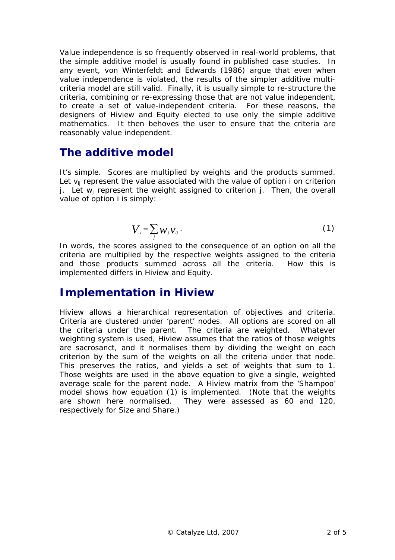Value independence is so frequently observed in real-world problems, that the simple additive model is usually found in published case studies. In any event, von Winterfeldt and Edwards (1986) argue that even when value independence is violated, the results of the simpler additive multicriteria model are still valid. Finally, it is usually simple to re-structure the criteria, combining or re-expressing those that are not value independent, to create a set of value-independent criteria. For these reasons, the designers of Hiview and Equity elected to use only the simple additive mathematics. It then behoves the user to ensure that the criteria are reasonably value independent.

## **The additive model**

It's simple. Scores are multiplied by weights and the products summed. Let  $v_{ii}$  represent the value associated with the value of option i on criterion j. Let  $w_i$  represent the weight assigned to criterion j. Then, the overall value of option i is simply:

$$
\boldsymbol{V}_i = \sum_j \boldsymbol{W}_j \boldsymbol{V}_{ij} \ . \tag{1}
$$

In words, the scores assigned to the consequence of an option on all the criteria are multiplied by the respective weights assigned to the criteria and those products summed across all the criteria. How this is implemented differs in Hiview and Equity.

### **Implementation in Hiview**

Hiview allows a hierarchical representation of objectives and criteria. Criteria are clustered under 'parent' nodes. All options are scored on all the criteria under the parent. The criteria are weighted. Whatever weighting system is used, Hiview assumes that the ratios of those weights are sacrosanct, and it normalises them by dividing the weight on each criterion by the sum of the weights on all the criteria under that node. This preserves the ratios, and yields a set of weights that sum to 1. Those weights are used in the above equation to give a single, weighted average scale for the parent node. A Hiview matrix from the 'Shampoo' model shows how equation (1) is implemented. (Note that the weights are shown here normalised. They were assessed as 60 and 120, respectively for Size and Share.)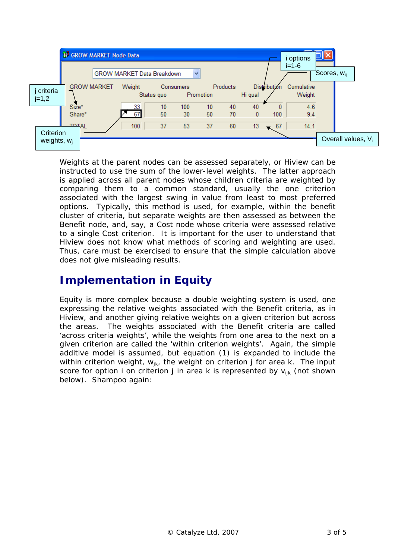

Weights at the parent nodes can be assessed separately, or Hiview can be instructed to use the sum of the lower-level weights. The latter approach is applied across all parent nodes whose children criteria are weighted by comparing them to a common standard, usually the one criterion associated with the largest swing in value from least to most preferred options. Typically, this method is used, for example, within the benefit cluster of criteria, but separate weights are then assessed as between the Benefit node, and, say, a Cost node whose criteria were assessed relative to a single Cost criterion. It is important for the user to understand that Hiview does not know what methods of scoring and weighting are used. Thus, care must be exercised to ensure that the simple calculation above does not give misleading results.

## **Implementation in Equity**

Equity is more complex because a double weighting system is used, one expressing the relative weights associated with the Benefit criteria, as in Hiview, and another giving relative weights on a given criterion but across the areas. The weights associated with the Benefit criteria are called 'across criteria weights', while the weights from one area to the next on a given criterion are called the 'within criterion weights'. Again, the simple additive model is assumed, but equation (1) is expanded to include the within criterion weight,  $w_{ik}$ , the weight on criterion j for area k. The input score for option i on criterion j in area k is represented by  $v_{ijk}$  (not shown below). Shampoo again: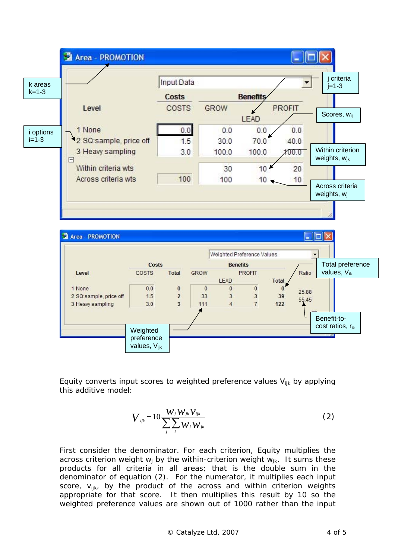



Equity converts input scores to weighted preference values  $V_{ijk}$  by applying this additive model:

$$
V_{ijk} = 10 \frac{W_j W_{jk} V_{ijk}}{\sum_j \sum_k W_j W_{jk}}
$$
 (2)

First consider the denominator. For each criterion, Equity multiplies the across criterion weight  $w_i$  by the within-criterion weight  $w_{ik}$ . It sums these products for all criteria in all areas; that is the double sum in the denominator of equation (2). For the numerator, it multiplies each input score,  $V_{iik}$ , by the product of the across and within criterion weights appropriate for that score. It then multiplies this result by 10 so the weighted preference values are shown out of 1000 rather than the input